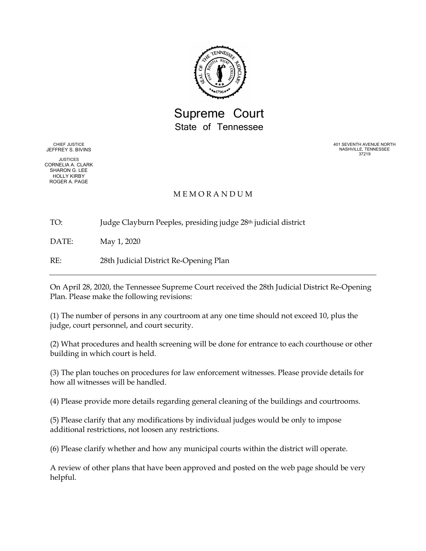

# Supreme Court State of Tennessee

CHIEF JUSTICE JEFFREY S. BIVINS

JUSTICES CORNELIA A. CLARK SHARON G. LEE HOLLY KIRBY ROGER A. PAGE

401 SEVENTH AVENUE NORTH NASHVILLE, TENNESSEE 37219

### M E M O R A N D U M

TO: Judge Clayburn Peeples, presiding judge 28th judicial district

DATE: May 1, 2020

RE: 28th Judicial District Re-Opening Plan

On April 28, 2020, the Tennessee Supreme Court received the 28th Judicial District Re-Opening Plan. Please make the following revisions:

(1) The number of persons in any courtroom at any one time should not exceed 10, plus the judge, court personnel, and court security.

(2) What procedures and health screening will be done for entrance to each courthouse or other building in which court is held.

(3) The plan touches on procedures for law enforcement witnesses. Please provide details for how all witnesses will be handled.

(4) Please provide more details regarding general cleaning of the buildings and courtrooms.

(5) Please clarify that any modifications by individual judges would be only to impose additional restrictions, not loosen any restrictions.

(6) Please clarify whether and how any municipal courts within the district will operate.

A review of other plans that have been approved and posted on the web page should be very helpful.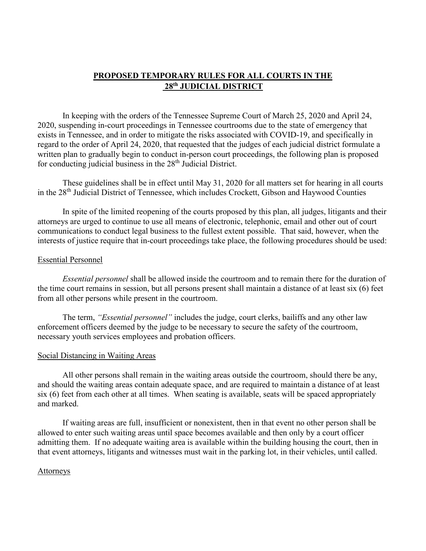## **PROPOSED TEMPORARY RULES FOR ALL COURTS IN THE 28th JUDICIAL DISTRICT**

In keeping with the orders of the Tennessee Supreme Court of March 25, 2020 and April 24, 2020, suspending in-court proceedings in Tennessee courtrooms due to the state of emergency that exists in Tennessee, and in order to mitigate the risks associated with COVID-19, and specifically in regard to the order of April 24, 2020, that requested that the judges of each judicial district formulate a written plan to gradually begin to conduct in-person court proceedings, the following plan is proposed for conducting judicial business in the 28<sup>th</sup> Judicial District.

These guidelines shall be in effect until May 31, 2020 for all matters set for hearing in all courts in the 28<sup>th</sup> Judicial District of Tennessee, which includes Crockett, Gibson and Haywood Counties

In spite of the limited reopening of the courts proposed by this plan, all judges, litigants and their attorneys are urged to continue to use all means of electronic, telephonic, email and other out of court communications to conduct legal business to the fullest extent possible. That said, however, when the interests of justice require that in-court proceedings take place, the following procedures should be used:

#### Essential Personnel

*Essential personnel* shall be allowed inside the courtroom and to remain there for the duration of the time court remains in session, but all persons present shall maintain a distance of at least six (6) feet from all other persons while present in the courtroom.

The term, *"Essential personnel"* includes the judge, court clerks, bailiffs and any other law enforcement officers deemed by the judge to be necessary to secure the safety of the courtroom, necessary youth services employees and probation officers.

#### Social Distancing in Waiting Areas

All other persons shall remain in the waiting areas outside the courtroom, should there be any, and should the waiting areas contain adequate space, and are required to maintain a distance of at least six (6) feet from each other at all times. When seating is available, seats will be spaced appropriately and marked.

If waiting areas are full, insufficient or nonexistent, then in that event no other person shall be allowed to enter such waiting areas until space becomes available and then only by a court officer admitting them. If no adequate waiting area is available within the building housing the court, then in that event attorneys, litigants and witnesses must wait in the parking lot, in their vehicles, until called.

#### Attorneys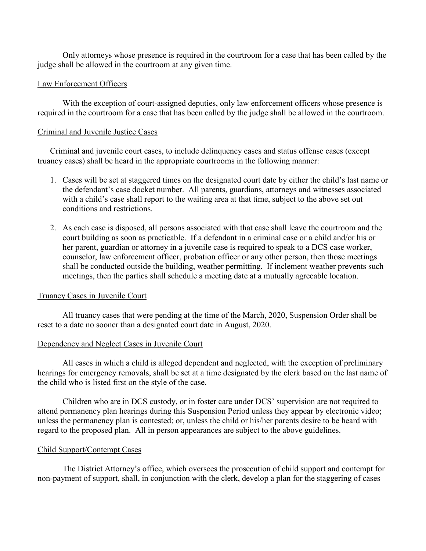Only attorneys whose presence is required in the courtroom for a case that has been called by the judge shall be allowed in the courtroom at any given time.

### Law Enforcement Officers

With the exception of court-assigned deputies, only law enforcement officers whose presence is required in the courtroom for a case that has been called by the judge shall be allowed in the courtroom.

### Criminal and Juvenile Justice Cases

Criminal and juvenile court cases, to include delinquency cases and status offense cases (except truancy cases) shall be heard in the appropriate courtrooms in the following manner:

- 1. Cases will be set at staggered times on the designated court date by either the child's last name or the defendant's case docket number. All parents, guardians, attorneys and witnesses associated with a child's case shall report to the waiting area at that time, subject to the above set out conditions and restrictions.
- 2. As each case is disposed, all persons associated with that case shall leave the courtroom and the court building as soon as practicable. If a defendant in a criminal case or a child and/or his or her parent, guardian or attorney in a juvenile case is required to speak to a DCS case worker, counselor, law enforcement officer, probation officer or any other person, then those meetings shall be conducted outside the building, weather permitting. If inclement weather prevents such meetings, then the parties shall schedule a meeting date at a mutually agreeable location.

### Truancy Cases in Juvenile Court

All truancy cases that were pending at the time of the March, 2020, Suspension Order shall be reset to a date no sooner than a designated court date in August, 2020.

### Dependency and Neglect Cases in Juvenile Court

All cases in which a child is alleged dependent and neglected, with the exception of preliminary hearings for emergency removals, shall be set at a time designated by the clerk based on the last name of the child who is listed first on the style of the case.

Children who are in DCS custody, or in foster care under DCS' supervision are not required to attend permanency plan hearings during this Suspension Period unless they appear by electronic video; unless the permanency plan is contested; or, unless the child or his/her parents desire to be heard with regard to the proposed plan. All in person appearances are subject to the above guidelines.

### Child Support/Contempt Cases

The District Attorney's office, which oversees the prosecution of child support and contempt for non-payment of support, shall, in conjunction with the clerk, develop a plan for the staggering of cases